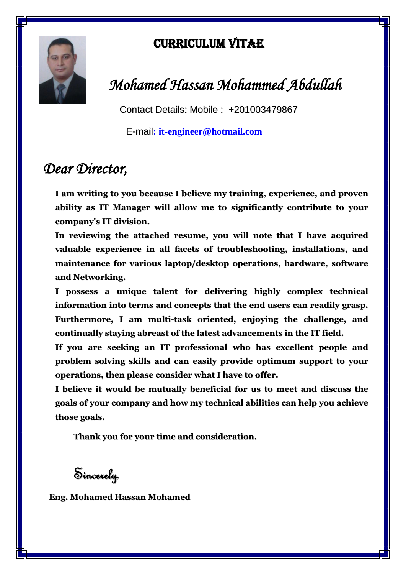

## Curriculum Vitae

# *Mohamed Hassan Mohammed Abdullah*

Contact Details: Mobile : +201003479867

E-mail**: [it-engineer@hotmail.com](mailto:it-engineer@hotmail.com)**

## *Dear Director,*

**I am writing to you because I believe my training, experience, and proven ability as IT Manager will allow me to significantly contribute to your company's IT division.**

**In reviewing the attached resume, you will note that I have acquired valuable experience in all facets of troubleshooting, installations, and maintenance for various laptop/desktop operations, hardware, software and Networking.**

**I possess a unique talent for delivering highly complex technical information into terms and concepts that the end users can readily grasp. Furthermore, I am multi-task oriented, enjoying the challenge, and continually staying abreast of the latest advancements in the IT field.**

**If you are seeking an IT professional who has excellent people and problem solving skills and can easily provide optimum support to your operations, then please consider what I have to offer.**

**I believe it would be mutually beneficial for us to meet and discuss the goals of your company and how my technical abilities can help you achieve those goals.**

**Thank you for your time and consideration.**

Sincerely,

**Eng. Mohamed Hassan Mohamed**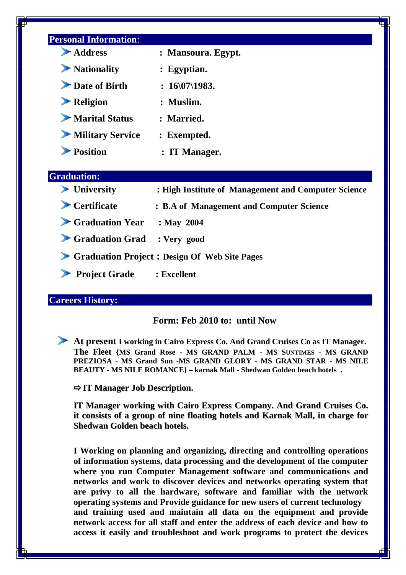| Address                                                | : Mansoura. Egypt.                                  |
|--------------------------------------------------------|-----------------------------------------------------|
| $\blacktriangleright$ Nationality                      | : Egyptian.                                         |
| Date of Birth                                          | : $16\frac{07}{1983}$ .                             |
| $\blacktriangleright$ Religion                         | : Muslim.                                           |
| $\blacktriangleright$ Marital Status                   | : Married.                                          |
| Military Service                                       | : Exempted.                                         |
| Position                                               | : IT Manager.                                       |
| <b>Graduation:</b><br>$\blacktriangleright$ University | : High Institute of Management and Computer Science |
|                                                        | : B.A of Management and Computer Science            |
| $\blacktriangleright$ Certificate                      |                                                     |
| $\blacktriangleright$ Graduation Year                  | $:$ May 2004                                        |
| Graduation Grad : Very good                            |                                                     |
|                                                        | Graduation Project: Design Of Web Site Pages        |

#### **Careers History:**

### **Form: Feb 2010 to: until Now**

**At present I working in Cairo Express Co. And Grand Cruises Co as IT Manager. The Fleet {MS Grand Rose - MS GRAND PALM - MS SUNTIMES - MS GRAND PREZIOSA - MS Grand Sun -MS GRAND GLORY - MS GRAND STAR - MS NILE BEAUTY - MS NILE ROMANCE} – karnak Mall - Shedwan Golden beach hotels .**

**IT Manager Job Description.**

**IT Manager working with Cairo Express Company. And Grand Cruises Co. it consists of a group of nine floating hotels and Karnak Mall, in charge for Shedwan Golden beach hotels.**

**I Working on planning and organizing, directing and controlling operations of information systems, data processing and the development of the computer where you run Computer Management software and communications and networks and work to discover devices and networks operating system that are privy to all the hardware, software and familiar with the network operating systems and Provide guidance for new users of current technology and training used and maintain all data on the equipment and provide network access for all staff and enter the address of each device and how to access it easily and troubleshoot and work programs to protect the devices**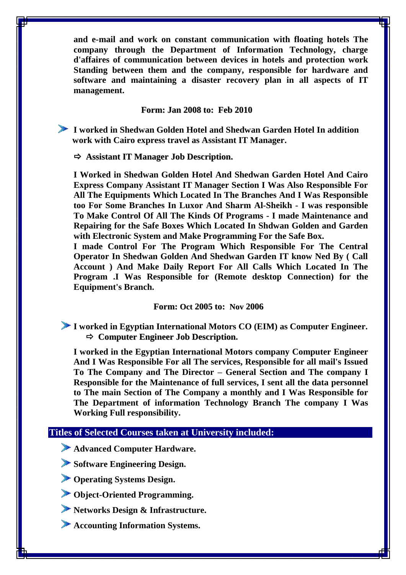**and e-mail and work on constant communication with floating hotels The company through the Department of Information Technology, charge d'affaires of communication between devices in hotels and protection work Standing between them and the company, responsible for hardware and software and maintaining a disaster recovery plan in all aspects of IT management.**

#### **Form: Jan 2008 to: Feb 2010**

**I worked in Shedwan Golden Hotel and Shedwan Garden Hotel In addition work with Cairo express travel as Assistant IT Manager.**

**Assistant IT Manager Job Description.**

**I Worked in Shedwan Golden Hotel And Shedwan Garden Hotel And Cairo Express Company Assistant IT Manager Section I Was Also Responsible For All The Equipments Which Located In The Branches And I Was Responsible too For Some Branches In Luxor And Sharm Al-Sheikh - I was responsible To Make Control Of All The Kinds Of Programs - I made Maintenance and Repairing for the Safe Boxes Which Located In Shdwan Golden and Garden with Electronic System and Make Programming For the Safe Box.**

**I made Control For The Program Which Responsible For The Central Operator In Shedwan Golden And Shedwan Garden IT know Ned By ( Call Account ) And Make Daily Report For All Calls Which Located In The Program .I Was Responsible for (Remote desktop Connection) for the Equipment's Branch.** 

#### **Form: Oct 2005 to: Nov 2006**

**I worked in Egyptian International Motors CO (EIM) as Computer Engineer. Computer Engineer Job Description.** 

**I worked in the Egyptian International Motors company Computer Engineer And I Was Responsible For all The services, Responsible for all mail's Issued To The Company and The Director – General Section and The company I Responsible for the Maintenance of full services, I sent all the data personnel to The main Section of The Company a monthly and I Was Responsible for The Department of information Technology Branch The company I Was Working Full responsibility.**

#### **Titles of Selected Courses taken at University included:**

**Advanced Computer Hardware.**

**Software Engineering Design.**

**Operating Systems Design.**

**Object-Oriented Programming.**

**Networks Design & Infrastructure.**

**Accounting Information Systems.**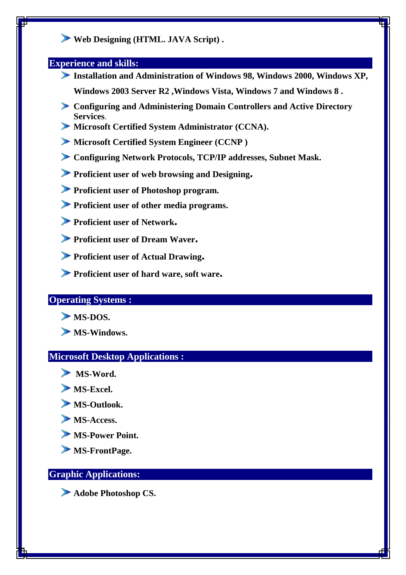## **Web Designing (HTML. JAVA Script) .**

#### **Experience and skills:**

- **Installation and Administration of Windows 98, Windows 2000, Windows XP, Windows 2003 Server R2 ,Windows Vista, Windows 7 and Windows 8 .**
- **Configuring and Administering Domain Controllers and Active Directory Services**.
- **Microsoft Certified System Administrator (CCNA).**
- **Microsoft Certified System Engineer (CCNP )**
- **Configuring Network Protocols, TCP/IP addresses, Subnet Mask.**
- **Proficient user of web browsing and Designing.**
- **Proficient user of Photoshop program.**
- **Proficient user of other media programs.**
- **Proficient user of Network.**
- **Proficient user of Dream Waver.**
- **Proficient user of Actual Drawing.**
- **Proficient user of hard ware, soft ware.**

## **Operating Systems :**

- **MS-DOS.**
- **MS-Windows.**

### **Microsoft Desktop Applications :**

- **MS-Word.**
- **MS-Excel.**
- **MS-Outlook.**
- **MS-Access.**
- **MS-Power Point.**
- **MS-FrontPage.**

## **Graphic Applications:**

**Adobe Photoshop CS.**